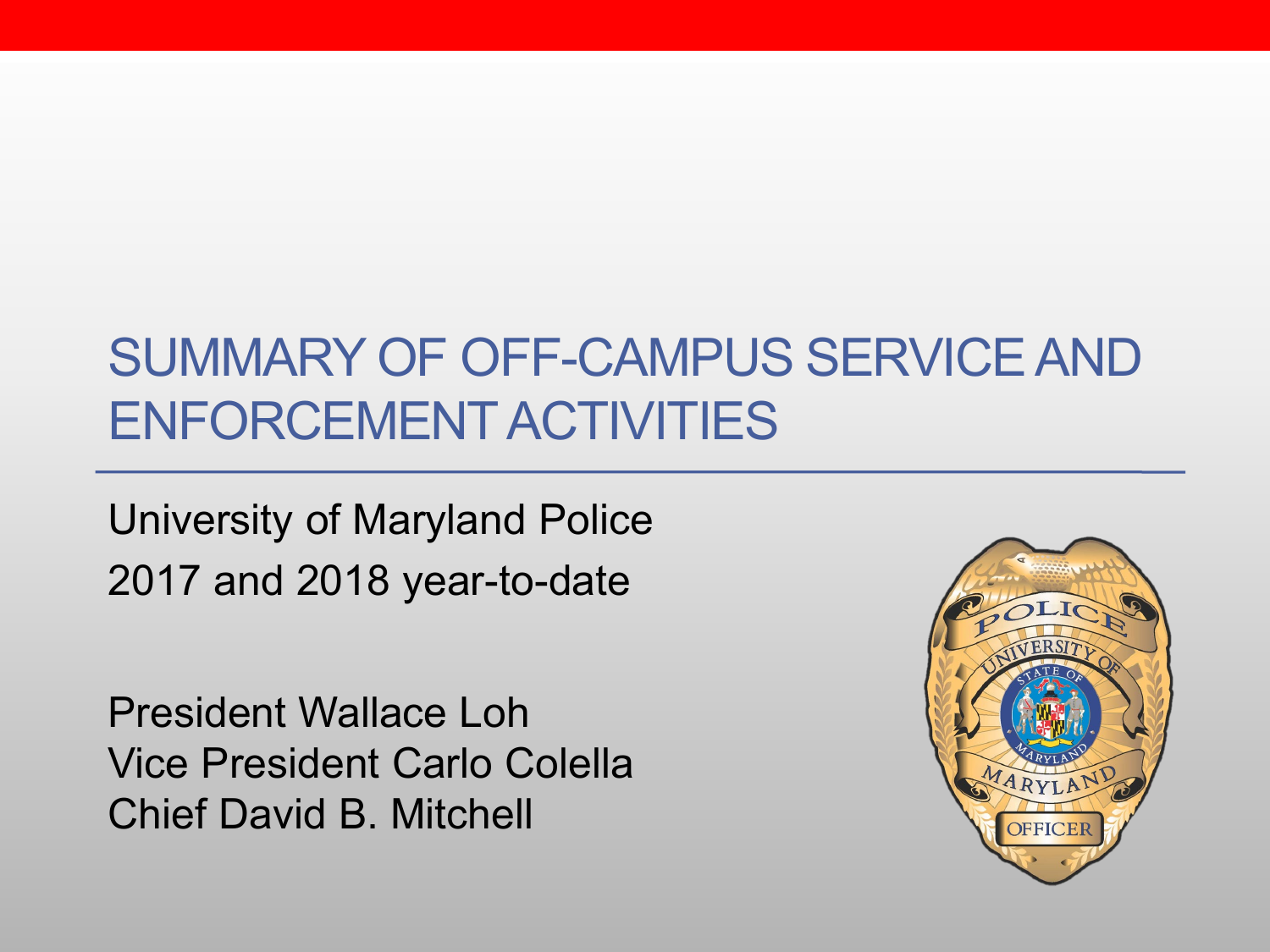### SUMMARY OF OFF-CAMPUS SERVICE AND ENFORCEMENT ACTIVITIES

University of Maryland Police 2017 and 2018 year-to-date

President Wallace Loh Vice President Carlo Colella Chief David B. Mitchell

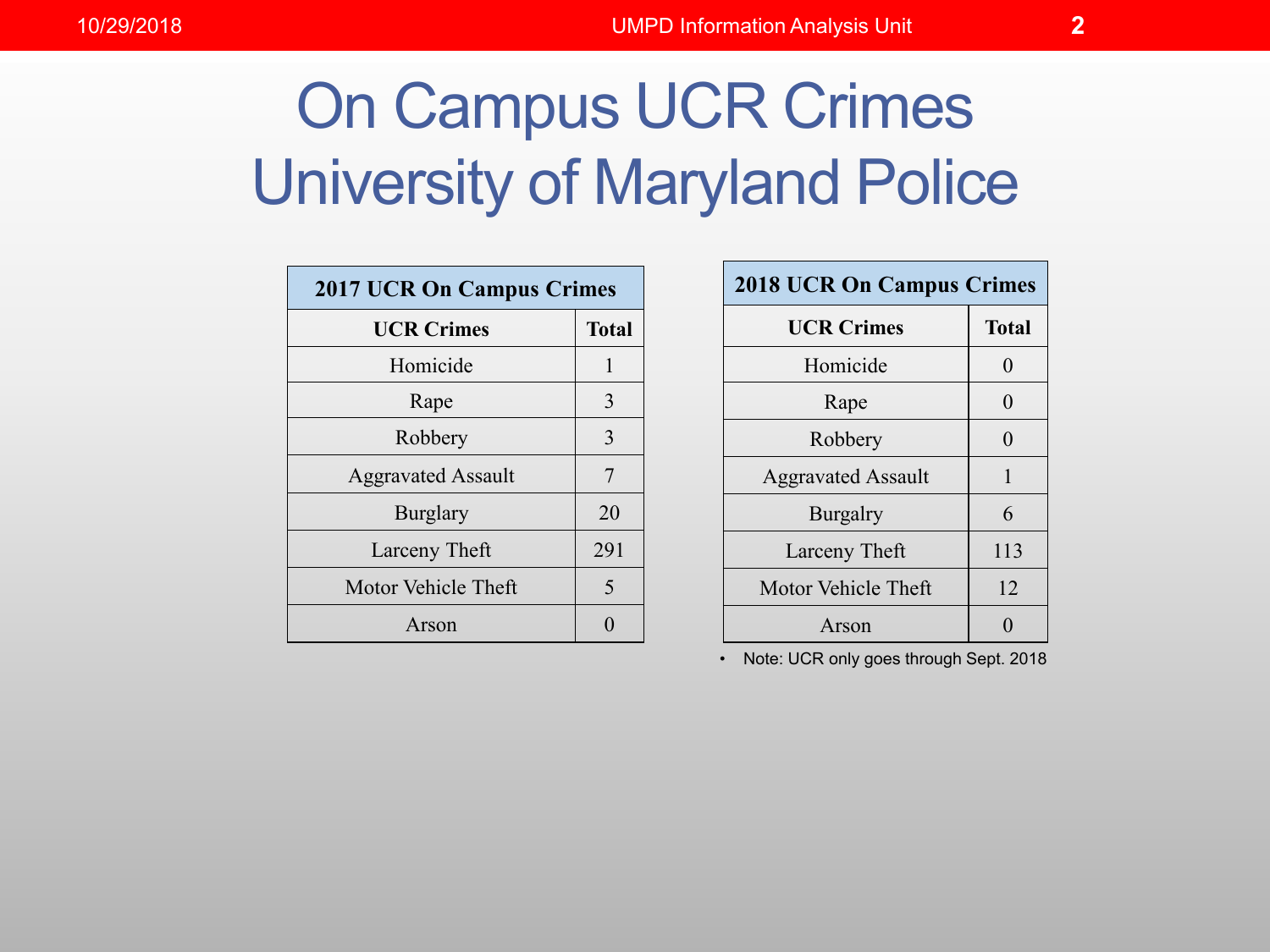# On Campus UCR Crimes University of Maryland Police

| <b>2017 UCR On Campus Crimes</b> |              |
|----------------------------------|--------------|
| <b>UCR Crimes</b>                | <b>Total</b> |
| Homicide                         | 1            |
| Rape                             | 3            |
| Robbery                          | 3            |
| <b>Aggravated Assault</b>        | 7            |
| <b>Burglary</b>                  | 20           |
| Larceny Theft                    | 291          |
| Motor Vehicle Theft              | 5            |
| Arson                            |              |

| <b>2018 UCR On Campus Crimes</b> |              |
|----------------------------------|--------------|
| <b>UCR Crimes</b>                | <b>Total</b> |
| Homicide                         | 0            |
| Rape                             | 0            |
| Robbery                          | ∩            |
| <b>Aggravated Assault</b>        | 1            |
| <b>Burgalry</b>                  | 6            |
| Larceny Theft                    | 113          |
| Motor Vehicle Theft              | 12           |
| Arson                            |              |

• Note: UCR only goes through Sept. 2018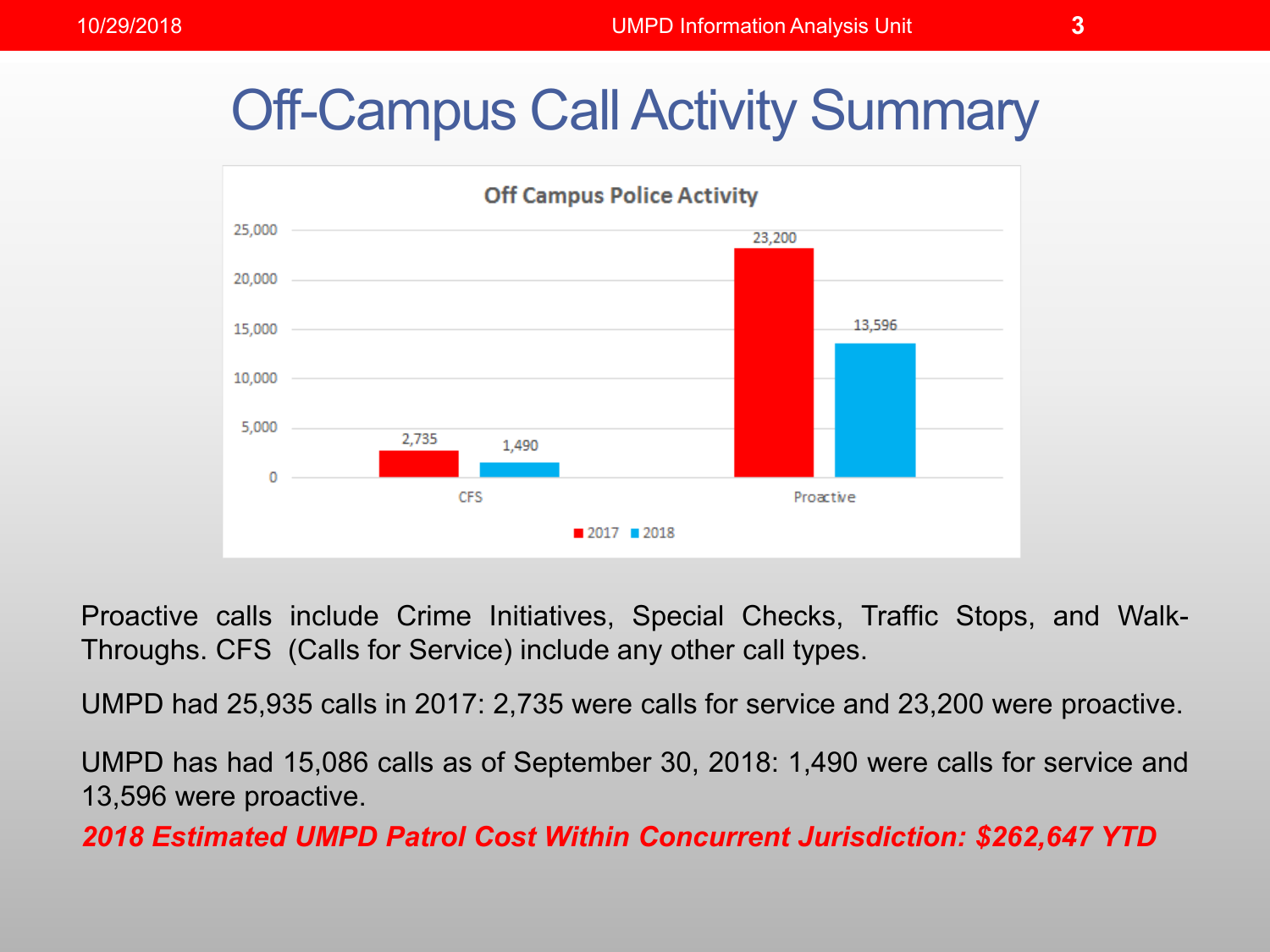#### Off-Campus Call Activity Summary



Proactive calls include Crime Initiatives, Special Checks, Traffic Stops, and Walk-Throughs. CFS (Calls for Service) include any other call types.

UMPD had 25,935 calls in 2017: 2,735 were calls for service and 23,200 were proactive.

UMPD has had 15,086 calls as of September 30, 2018: 1,490 were calls for service and 13,596 were proactive.

*2018 Estimated UMPD Patrol Cost Within Concurrent Jurisdiction: \$262,647 YTD*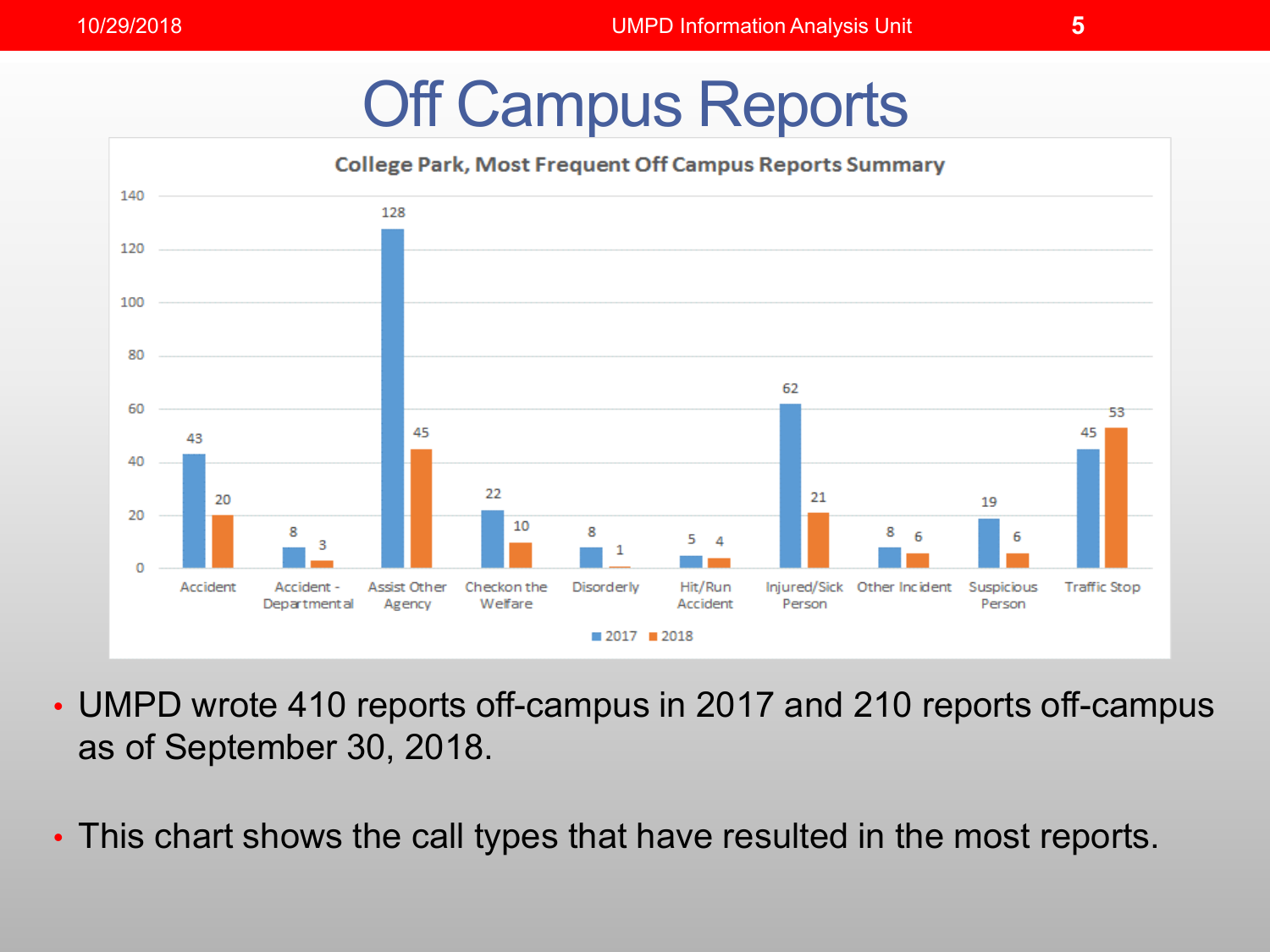## Off Campus Reports



- UMPD wrote 410 reports off-campus in 2017 and 210 reports off-campus as of September 30, 2018.
- This chart shows the call types that have resulted in the most reports.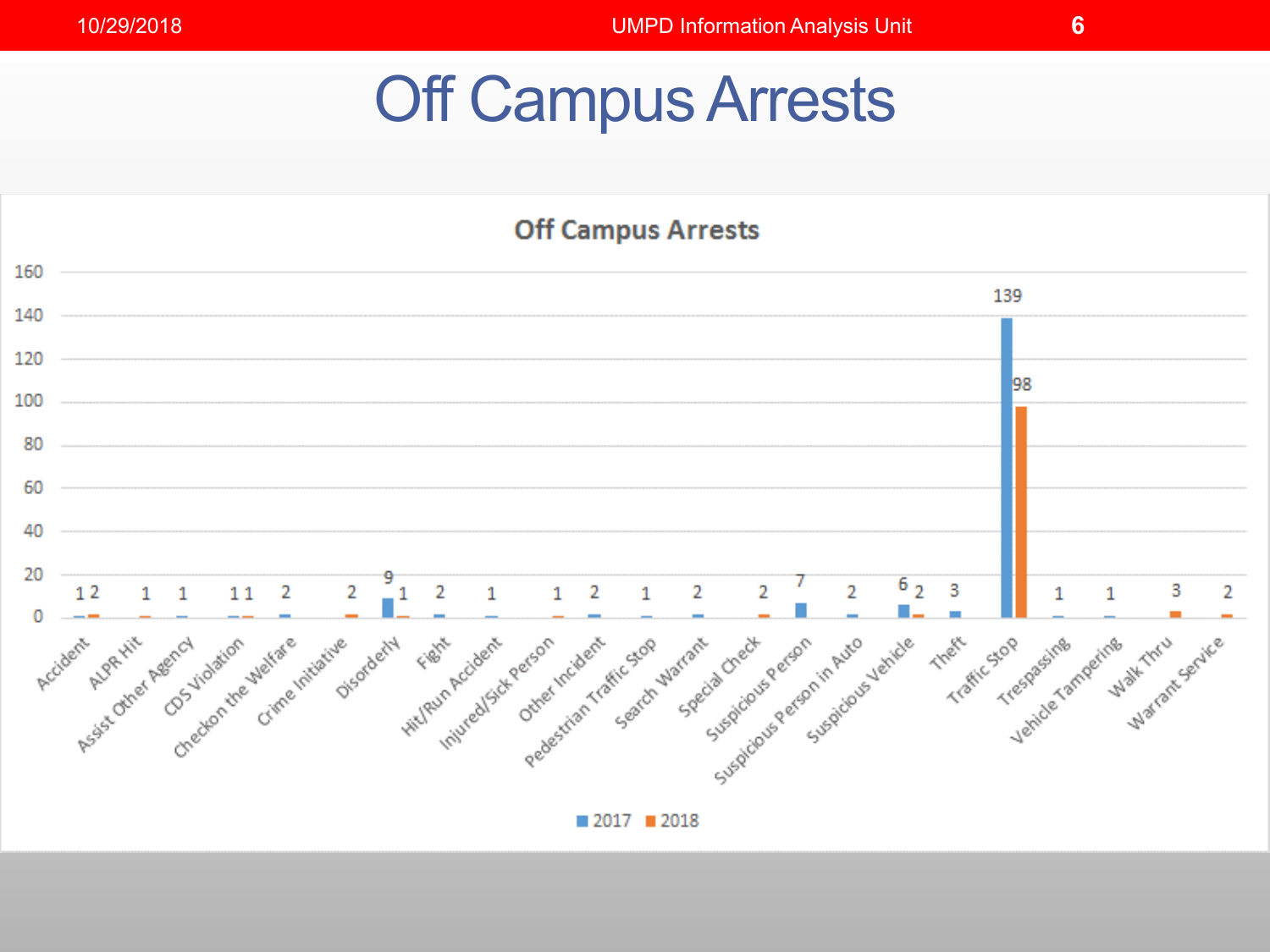## Off Campus Arrests

#### **Off Campus Arrests**